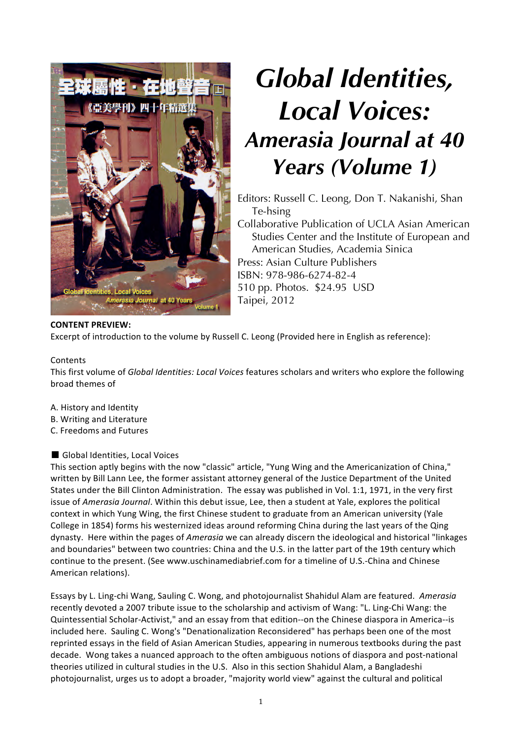

# *Global Identities, Local Voices: Amerasia Journal at 40 Years (Volume 1)*

Editors: Russell C. Leong, Don T. Nakanishi, Shan Te-hsing Collaborative Publication of UCLA Asian American Studies Center and the Institute of European and American Studies, Academia Sinica Press: Asian Culture Publishers ISBN: 978-986-6274-82-4 510 pp. Photos. \$24.95 USD Taipei, 2012

## **CONTENT PREVIEW:**

Excerpt of introduction to the volume by Russell C. Leong (Provided here in English as reference):

### Contents

This first volume of *Global Identities: Local Voices* features scholars and writers who explore the following broad themes of

- A. History and Identity
- B. Writing and Literature
- C. Freedoms and Futures

■ Global Identities, Local Voices

This section aptly begins with the now "classic" article, "Yung Wing and the Americanization of China," written by Bill Lann Lee, the former assistant attorney general of the Justice Department of the United States under the Bill Clinton Administration. The essay was published in Vol. 1:1, 1971, in the very first issue of *Amerasia Journal*. Within this debut issue, Lee, then a student at Yale, explores the political context in which Yung Wing, the first Chinese student to graduate from an American university (Yale College in 1854) forms his westernized ideas around reforming China during the last years of the Qing dynasty. Here within the pages of *Amerasia* we can already discern the ideological and historical "linkages and boundaries" between two countries: China and the U.S. in the latter part of the 19th century which continue to the present. (See www.uschinamediabrief.com for a timeline of U.S.-China and Chinese American relations).

Essays by L. Ling-chi Wang, Sauling C. Wong, and photojournalist Shahidul Alam are featured. Amerasia recently devoted a 2007 tribute issue to the scholarship and activism of Wang: "L. Ling-Chi Wang: the Quintessential Scholar-Activist," and an essay from that edition--on the Chinese diaspora in America--is included here. Sauling C. Wong's "Denationalization Reconsidered" has perhaps been one of the most reprinted essays in the field of Asian American Studies, appearing in numerous textbooks during the past decade. Wong takes a nuanced approach to the often ambiguous notions of diaspora and post-national theories utilized in cultural studies in the U.S. Also in this section Shahidul Alam, a Bangladeshi photojournalist, urges us to adopt a broader, "majority world view" against the cultural and political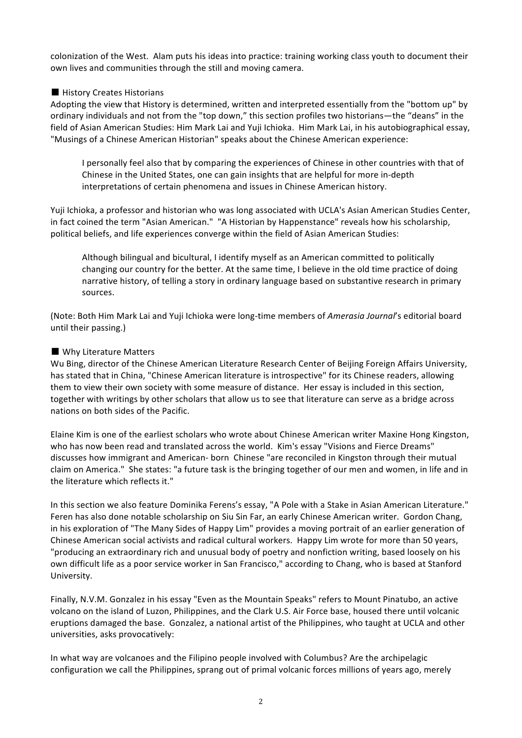colonization of the West. Alam puts his ideas into practice: training working class youth to document their own lives and communities through the still and moving camera.

### ■ History Creates Historians

Adopting the view that History is determined, written and interpreted essentially from the "bottom up" by ordinary individuals and not from the "top down," this section profiles two historians—the "deans" in the field of Asian American Studies: Him Mark Lai and Yuji Ichioka. Him Mark Lai, in his autobiographical essay, "Musings of a Chinese American Historian" speaks about the Chinese American experience:

I personally feel also that by comparing the experiences of Chinese in other countries with that of Chinese in the United States, one can gain insights that are helpful for more in-depth interpretations of certain phenomena and issues in Chinese American history.

Yuji Ichioka, a professor and historian who was long associated with UCLA's Asian American Studies Center, in fact coined the term "Asian American." "A Historian by Happenstance" reveals how his scholarship, political beliefs, and life experiences converge within the field of Asian American Studies:

Although bilingual and bicultural, I identify myself as an American committed to politically changing our country for the better. At the same time, I believe in the old time practice of doing narrative history, of telling a story in ordinary language based on substantive research in primary sources. 

(Note: Both Him Mark Lai and Yuji Ichioka were long-time members of *Amerasia Journal's* editorial board until their passing.)

### ■ Why Literature Matters

Wu Bing, director of the Chinese American Literature Research Center of Beijing Foreign Affairs University, has stated that in China, "Chinese American literature is introspective" for its Chinese readers, allowing them to view their own society with some measure of distance. Her essay is included in this section, together with writings by other scholars that allow us to see that literature can serve as a bridge across nations on both sides of the Pacific.

Elaine Kim is one of the earliest scholars who wrote about Chinese American writer Maxine Hong Kingston, who has now been read and translated across the world. Kim's essay "Visions and Fierce Dreams" discusses how immigrant and American- born Chinese "are reconciled in Kingston through their mutual claim on America." She states: "a future task is the bringing together of our men and women, in life and in the literature which reflects it."

In this section we also feature Dominika Ferens's essay, "A Pole with a Stake in Asian American Literature." Feren has also done notable scholarship on Siu Sin Far, an early Chinese American writer. Gordon Chang, in his exploration of "The Many Sides of Happy Lim" provides a moving portrait of an earlier generation of Chinese American social activists and radical cultural workers. Happy Lim wrote for more than 50 years, "producing an extraordinary rich and unusual body of poetry and nonfiction writing, based loosely on his own difficult life as a poor service worker in San Francisco," according to Chang, who is based at Stanford University.

Finally, N.V.M. Gonzalez in his essay "Even as the Mountain Speaks" refers to Mount Pinatubo, an active volcano on the island of Luzon, Philippines, and the Clark U.S. Air Force base, housed there until volcanic eruptions damaged the base. Gonzalez, a national artist of the Philippines, who taught at UCLA and other universities, asks provocatively:

In what way are volcanoes and the Filipino people involved with Columbus? Are the archipelagic configuration we call the Philippines, sprang out of primal volcanic forces millions of years ago, merely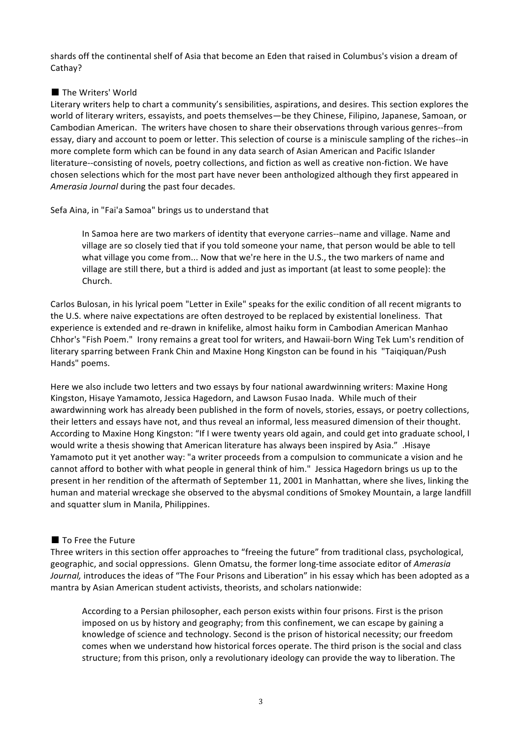shards off the continental shelf of Asia that become an Eden that raised in Columbus's vision a dream of Cathay?

### ■ The Writers' World

Literary writers help to chart a community's sensibilities, aspirations, and desires. This section explores the world of literary writers, essayists, and poets themselves—be they Chinese, Filipino, Japanese, Samoan, or Cambodian American. The writers have chosen to share their observations through various genres--from essay, diary and account to poem or letter. This selection of course is a miniscule sampling of the riches--in more complete form which can be found in any data search of Asian American and Pacific Islander literature--consisting of novels, poetry collections, and fiction as well as creative non-fiction. We have chosen selections which for the most part have never been anthologized although they first appeared in Amerasia Journal during the past four decades.

Sefa Aina, in "Fai'a Samoa" brings us to understand that

In Samoa here are two markers of identity that everyone carries--name and village. Name and village are so closely tied that if you told someone your name, that person would be able to tell what village you come from... Now that we're here in the U.S., the two markers of name and village are still there, but a third is added and just as important (at least to some people): the Church.

Carlos Bulosan, in his lyrical poem "Letter in Exile" speaks for the exilic condition of all recent migrants to the U.S. where naive expectations are often destroyed to be replaced by existential loneliness. That experience is extended and re-drawn in knifelike, almost haiku form in Cambodian American Manhao Chhor's "Fish Poem." Irony remains a great tool for writers, and Hawaii-born Wing Tek Lum's rendition of literary sparring between Frank Chin and Maxine Hong Kingston can be found in his "Taiqiquan/Push Hands" poems.

Here we also include two letters and two essays by four national awardwinning writers: Maxine Hong Kingston, Hisaye Yamamoto, Jessica Hagedorn, and Lawson Fusao Inada. While much of their awardwinning work has already been published in the form of novels, stories, essays, or poetry collections, their letters and essays have not, and thus reveal an informal, less measured dimension of their thought. According to Maxine Hong Kingston: "If I were twenty years old again, and could get into graduate school, I would write a thesis showing that American literature has always been inspired by Asia." .Hisaye Yamamoto put it yet another way: "a writer proceeds from a compulsion to communicate a vision and he cannot afford to bother with what people in general think of him." Jessica Hagedorn brings us up to the present in her rendition of the aftermath of September 11, 2001 in Manhattan, where she lives, linking the human and material wreckage she observed to the abysmal conditions of Smokey Mountain, a large landfill and squatter slum in Manila, Philippines.

#### ■ To Free the Future

Three writers in this section offer approaches to "freeing the future" from traditional class, psychological, geographic, and social oppressions. Glenn Omatsu, the former long-time associate editor of Amerasia *Journal*, introduces the ideas of "The Four Prisons and Liberation" in his essay which has been adopted as a mantra by Asian American student activists, theorists, and scholars nationwide:

According to a Persian philosopher, each person exists within four prisons. First is the prison imposed on us by history and geography; from this confinement, we can escape by gaining a knowledge of science and technology. Second is the prison of historical necessity; our freedom comes when we understand how historical forces operate. The third prison is the social and class structure; from this prison, only a revolutionary ideology can provide the way to liberation. The